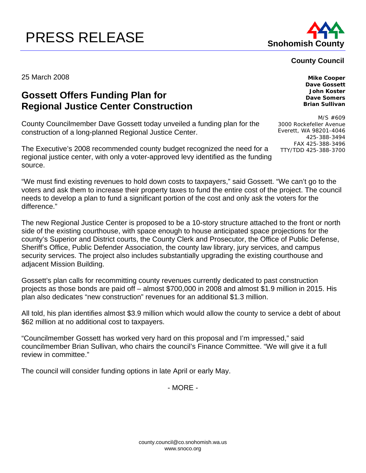## PRESS RELEASE **Show** Snohomish County



## **County Council**

25 March 2008 **Mike Cooper** 

## **Gossett Offers Funding Plan for Regional Justice Center Construction**

County Councilmember Dave Gossett today unveiled a funding plan for the construction of a long-planned Regional Justice Center.

The Executive's 2008 recommended county budget recognized the need for a regional justice center, with only a voter-approved levy identified as the funding source.

"We must find existing revenues to hold down costs to taxpayers," said Gossett. "We can't go to the voters and ask them to increase their property taxes to fund the entire cost of the project. The council needs to develop a plan to fund a significant portion of the cost and only ask the voters for the difference."

The new Regional Justice Center is proposed to be a 10-story structure attached to the front or north side of the existing courthouse, with space enough to house anticipated space projections for the county's Superior and District courts, the County Clerk and Prosecutor, the Office of Public Defense, Sheriff's Office, Public Defender Association, the county law library, jury services, and campus security services. The project also includes substantially upgrading the existing courthouse and adjacent Mission Building.

Gossett's plan calls for recommitting county revenues currently dedicated to past construction projects as those bonds are paid off – almost \$700,000 in 2008 and almost \$1.9 million in 2015. His plan also dedicates "new construction" revenues for an additional \$1.3 million.

All told, his plan identifies almost \$3.9 million which would allow the county to service a debt of about \$62 million at no additional cost to taxpayers.

"Councilmember Gossett has worked very hard on this proposal and I'm impressed," said councilmember Brian Sullivan, who chairs the council's Finance Committee. "We will give it a full review in committee."

The council will consider funding options in late April or early May.

- MORE -

**Dave Gossett John Koster Dave Somers Brian Sullivan** 

M/S #609 3000 Rockefeller Avenue Everett, WA 98201-4046 425-388-3494 FAX 425-388-3496 TTY/TDD 425-388-3700